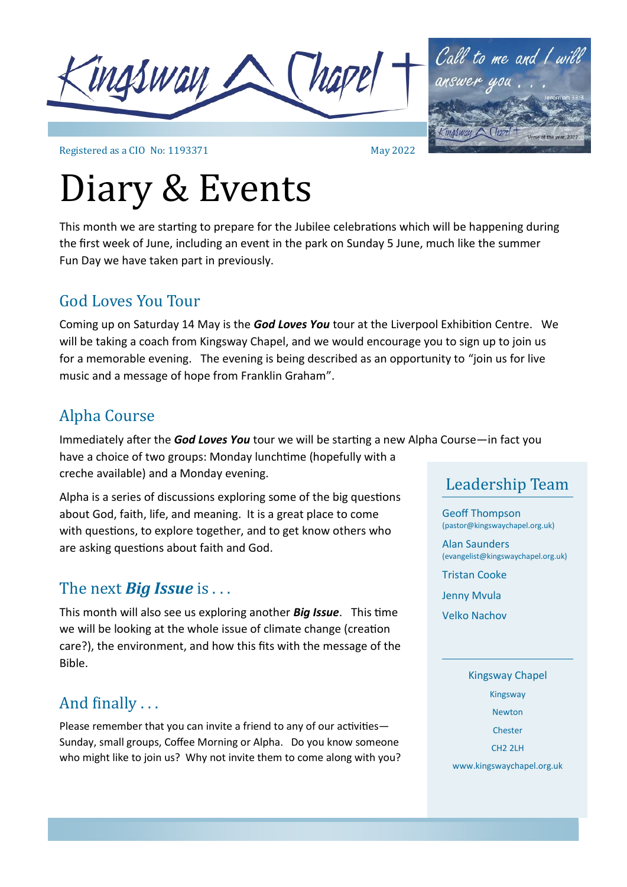

Call to me and I will

Registered as a CIO No: 1193371

# Diary & Events

This month we are starting to prepare for the Jubilee celebrations which will be happening during the first week of June, including an event in the park on Sunday 5 June, much like the summer Fun Day we have taken part in previously.

May 2022

### God Loves You Tour

Coming up on Saturday 14 May is the *God Loves You* tour at the Liverpool Exhibition Centre. We will be taking a coach from Kingsway Chapel, and we would encourage you to sign up to join us for a memorable evening. The evening is being described as an opportunity to "join us for live music and a message of hope from Franklin Graham".

### Alpha Course

Immediately after the *God Loves You* tour we will be starting a new Alpha Course—in fact you have a choice of two groups: Monday lunchtime (hopefully with a creche available) and a Monday evening.

Alpha is a series of discussions exploring some of the big questions about God, faith, life, and meaning. It is a great place to come with questions, to explore together, and to get know others who are asking questions about faith and God.

### The next *Big Issue* is . . .

This month will also see us exploring another *Big Issue*. This time we will be looking at the whole issue of climate change (creation care?), the environment, and how this fits with the message of the Bible.

### And finally . . .

Please remember that you can invite a friend to any of our activities— Sunday, small groups, Coffee Morning or Alpha. Do you know someone who might like to join us? Why not invite them to come along with you?

### Leadership Team

Geoff Thompson (pastor@kingswaychapel.org.uk)

Alan Saunders (evangelist@kingswaychapel.org.uk)

Tristan Cooke

Jenny Mvula

Velko Nachov

#### Kingsway Chapel

Kingsway

Newton

Chester

CH2 2LH

www.kingswaychapel.org.uk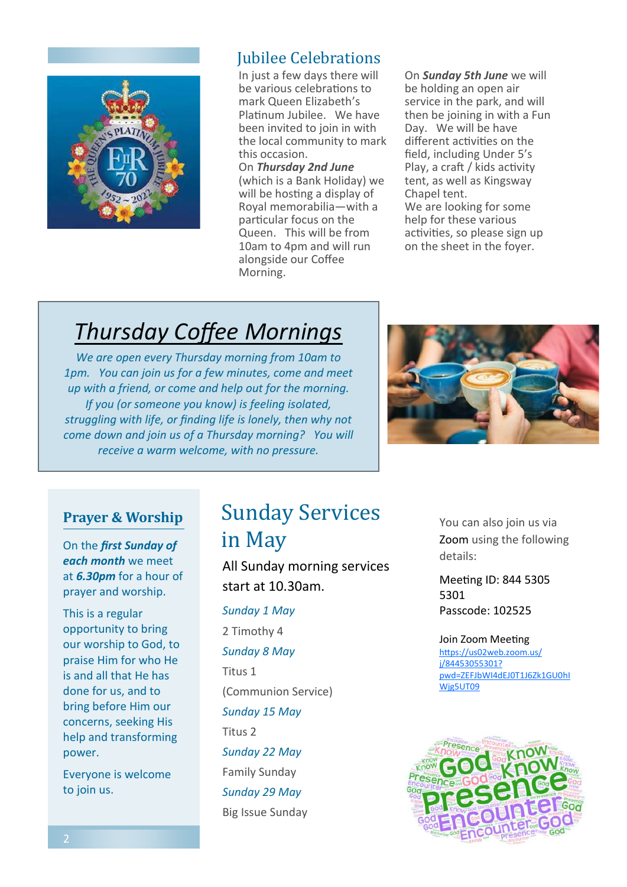

### Jubilee Celebrations

In just a few days there will be various celebrations to mark Queen Elizabeth's Platinum Jubilee. We have been invited to join in with the local community to mark this occasion.

On *Thursday 2nd June*  (which is a Bank Holiday) we will be hosting a display of Royal memorabilia—with a particular focus on the Queen. This will be from 10am to 4pm and will run alongside our Coffee Morning.

On *Sunday 5th June* we will be holding an open air service in the park, and will then be joining in with a Fun Day. We will be have different activities on the field, including Under 5's Play, a craft / kids activity tent, as well as Kingsway Chapel tent. We are looking for some help for these various activities, so please sign up on the sheet in the foyer.

# *Thursday Coffee Mornings*

*We are open every Thursday morning from 10am to 1pm. You can join us for a few minutes, come and meet up with a friend, or come and help out for the morning. If you (or someone you know) is feeling isolated, struggling with life, or finding life is lonely, then why not come down and join us of a Thursday morning? You will receive a warm welcome, with no pressure.* 



#### **Prayer & Worship**

On the *first Sunday of each month* we meet at *6.30pm* for a hour of prayer and worship.

This is a regular opportunity to bring our worship to God, to praise Him for who He is and all that He has done for us, and to bring before Him our concerns, seeking His help and transforming power.

Everyone is welcome to join us.

## Sunday Services in May

All Sunday morning services start at 10.30am.

*Sunday 1 May* 2 Timothy 4 *Sunday 8 May* Titus 1 (Communion Service) *Sunday 15 May* Titus 2 *Sunday 22 May* Family Sunday *Sunday 29 May*

Big Issue Sunday

You can also join us via Zoom using the following details:

Meeting ID: 844 5305 5301 Passcode: 102525

#### Join Zoom Meeting

[https://us02web.zoom.us/](https://us02web.zoom.us/j/84453055301?pwd=ZEFJbWI4dEJ0T1J6Zk1GU0hIWjg5UT09) [j/84453055301?](https://us02web.zoom.us/j/84453055301?pwd=ZEFJbWI4dEJ0T1J6Zk1GU0hIWjg5UT09) [pwd=ZEFJbWI4dEJ0T1J6Zk1GU0hI](https://us02web.zoom.us/j/84453055301?pwd=ZEFJbWI4dEJ0T1J6Zk1GU0hIWjg5UT09) [Wjg5UT09](https://us02web.zoom.us/j/84453055301?pwd=ZEFJbWI4dEJ0T1J6Zk1GU0hIWjg5UT09)